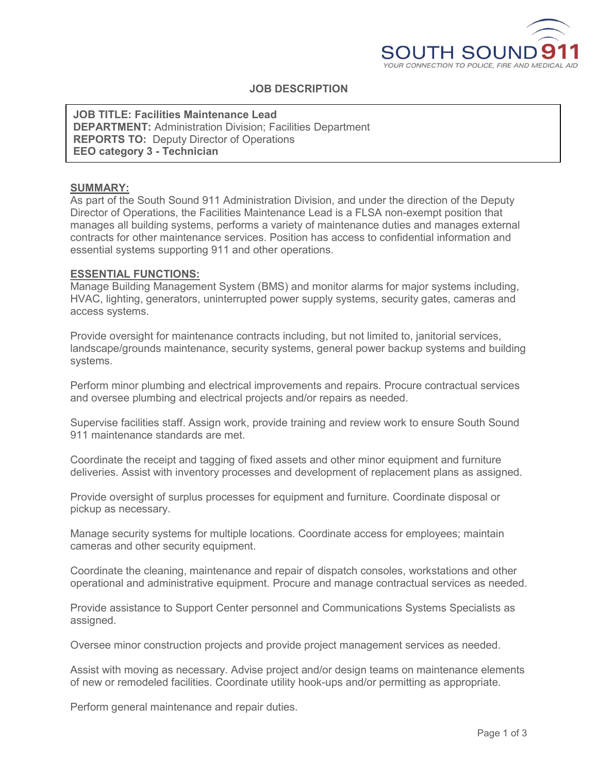

# **JOB DESCRIPTION**

**JOB TITLE: Facilities Maintenance Lead DEPARTMENT:** Administration Division; Facilities Department **REPORTS TO:** Deputy Director of Operations **EEO category 3 - Technician**

#### **SUMMARY:**

As part of the South Sound 911 Administration Division, and under the direction of the Deputy Director of Operations, the Facilities Maintenance Lead is a FLSA non-exempt position that manages all building systems, performs a variety of maintenance duties and manages external contracts for other maintenance services. Position has access to confidential information and essential systems supporting 911 and other operations.

#### **ESSENTIAL FUNCTIONS:**

Manage Building Management System (BMS) and monitor alarms for major systems including, HVAC, lighting, generators, uninterrupted power supply systems, security gates, cameras and access systems.

Provide oversight for maintenance contracts including, but not limited to, janitorial services, landscape/grounds maintenance, security systems, general power backup systems and building systems.

Perform minor plumbing and electrical improvements and repairs. Procure contractual services and oversee plumbing and electrical projects and/or repairs as needed.

Supervise facilities staff. Assign work, provide training and review work to ensure South Sound 911 maintenance standards are met.

Coordinate the receipt and tagging of fixed assets and other minor equipment and furniture deliveries. Assist with inventory processes and development of replacement plans as assigned.

Provide oversight of surplus processes for equipment and furniture. Coordinate disposal or pickup as necessary.

Manage security systems for multiple locations. Coordinate access for employees; maintain cameras and other security equipment.

Coordinate the cleaning, maintenance and repair of dispatch consoles, workstations and other operational and administrative equipment. Procure and manage contractual services as needed.

Provide assistance to Support Center personnel and Communications Systems Specialists as assigned.

Oversee minor construction projects and provide project management services as needed.

Assist with moving as necessary. Advise project and/or design teams on maintenance elements of new or remodeled facilities. Coordinate utility hook-ups and/or permitting as appropriate.

Perform general maintenance and repair duties.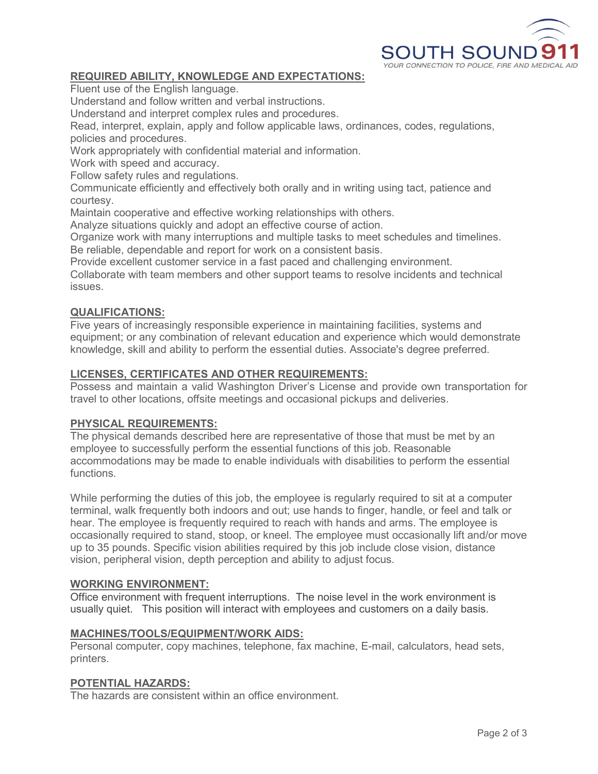

# **REQUIRED ABILITY, KNOWLEDGE AND EXPECTATIONS:**

Fluent use of the English language.

Understand and follow written and verbal instructions.

Understand and interpret complex rules and procedures.

Read, interpret, explain, apply and follow applicable laws, ordinances, codes, regulations, policies and procedures.

Work appropriately with confidential material and information.

Work with speed and accuracy.

Follow safety rules and regulations.

Communicate efficiently and effectively both orally and in writing using tact, patience and courtesy.

Maintain cooperative and effective working relationships with others.

Analyze situations quickly and adopt an effective course of action.

Organize work with many interruptions and multiple tasks to meet schedules and timelines. Be reliable, dependable and report for work on a consistent basis.

Provide excellent customer service in a fast paced and challenging environment.

Collaborate with team members and other support teams to resolve incidents and technical issues.

## **QUALIFICATIONS:**

Five years of increasingly responsible experience in maintaining facilities, systems and equipment; or any combination of relevant education and experience which would demonstrate knowledge, skill and ability to perform the essential duties. Associate's degree preferred.

#### **LICENSES, CERTIFICATES AND OTHER REQUIREMENTS:**

Possess and maintain a valid Washington Driver's License and provide own transportation for travel to other locations, offsite meetings and occasional pickups and deliveries.

## **PHYSICAL REQUIREMENTS:**

The physical demands described here are representative of those that must be met by an employee to successfully perform the essential functions of this job. Reasonable accommodations may be made to enable individuals with disabilities to perform the essential functions.

While performing the duties of this job, the employee is regularly required to sit at a computer terminal, walk frequently both indoors and out; use hands to finger, handle, or feel and talk or hear. The employee is frequently required to reach with hands and arms. The employee is occasionally required to stand, stoop, or kneel. The employee must occasionally lift and/or move up to 35 pounds. Specific vision abilities required by this job include close vision, distance vision, peripheral vision, depth perception and ability to adjust focus.

## **WORKING ENVIRONMENT:**

Office environment with frequent interruptions. The noise level in the work environment is usually quiet. This position will interact with employees and customers on a daily basis.

#### **MACHINES/TOOLS/EQUIPMENT/WORK AIDS:**

Personal computer, copy machines, telephone, fax machine, E-mail, calculators, head sets, printers.

#### **POTENTIAL HAZARDS:**

The hazards are consistent within an office environment.